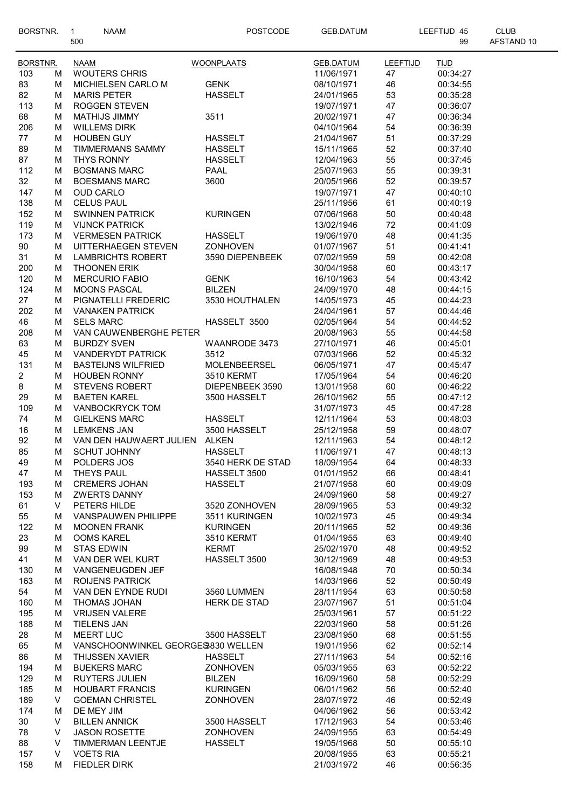| BORSTNR.                |        | <b>NAAM</b><br>$\mathbf{1}$                  | <b>POSTCODE</b>                 | <b>GEB.DATUM</b>         | LEEFTIJD 45     |                      | <b>CLUB</b> |
|-------------------------|--------|----------------------------------------------|---------------------------------|--------------------------|-----------------|----------------------|-------------|
|                         |        | 500                                          |                                 |                          |                 | 99                   | AFSTAND 10  |
| <b>BORSTNR.</b>         |        | <b>NAAM</b>                                  | <b>WOONPLAATS</b>               | <b>GEB.DATUM</b>         | <b>LEEFTIJD</b> | <b>TIJD</b>          |             |
| 103                     | м      | <b>WOUTERS CHRIS</b>                         |                                 | 11/06/1971               | 47              | 00:34:27             |             |
| 83                      | М      | MICHIELSEN CARLO M                           | <b>GENK</b>                     | 08/10/1971               | 46              | 00:34:55             |             |
| 82                      | М      | <b>MARIS PETER</b>                           | <b>HASSELT</b>                  | 24/01/1965               | 53              | 00:35:28             |             |
| 113                     | М      | ROGGEN STEVEN                                |                                 | 19/07/1971               | 47              | 00:36:07             |             |
| 68                      | M      | MATHIJS JIMMY                                | 3511                            | 20/02/1971               | 47              | 00:36:34             |             |
| 206                     | М      | <b>WILLEMS DIRK</b>                          |                                 | 04/10/1964               | 54              | 00:36:39             |             |
| 77                      | М      | <b>HOUBEN GUY</b>                            | <b>HASSELT</b>                  | 21/04/1967               | 51              | 00:37:29             |             |
| 89                      | М      | <b>TIMMERMANS SAMMY</b>                      | <b>HASSELT</b>                  | 15/11/1965               | 52              | 00:37:40             |             |
| 87                      | М      | <b>THYS RONNY</b>                            | <b>HASSELT</b>                  | 12/04/1963               | 55              | 00:37:45             |             |
| 112                     | М      | <b>BOSMANS MARC</b>                          | <b>PAAL</b>                     | 25/07/1963               | 55              | 00:39:31             |             |
| 32                      | М      | <b>BOESMANS MARC</b>                         | 3600                            | 20/05/1966               | 52              | 00:39:57             |             |
| 147                     | М      | <b>OUD CARLO</b>                             |                                 | 19/07/1971               | 47              | 00:40:10             |             |
| 138                     | М      | <b>CELUS PAUL</b>                            |                                 | 25/11/1956               | 61              | 00:40:19             |             |
| 152                     | М      | <b>SWINNEN PATRICK</b>                       | <b>KURINGEN</b>                 | 07/06/1968               | 50              | 00:40:48             |             |
| 119                     | М      | <b>VIJNCK PATRICK</b>                        |                                 | 13/02/1946               | 72              | 00:41:09             |             |
| 173                     | M      | <b>VERMESEN PATRICK</b>                      | <b>HASSELT</b>                  | 19/06/1970               | 48              | 00:41:35             |             |
| 90                      | М      | UITTERHAEGEN STEVEN                          | <b>ZONHOVEN</b>                 | 01/07/1967               | 51              | 00:41:41             |             |
| 31                      | М      | <b>LAMBRICHTS ROBERT</b>                     | 3590 DIEPENBEEK                 | 07/02/1959               | 59              | 00:42:08             |             |
| 200                     | М      | <b>THOONEN ERIK</b>                          |                                 | 30/04/1958               | 60              | 00:43:17             |             |
| 120                     | М      | <b>MERCURIO FABIO</b>                        | <b>GENK</b>                     | 16/10/1963               | 54              | 00:43:42             |             |
| 124                     | М      | <b>MOONS PASCAL</b>                          | <b>BILZEN</b>                   | 24/09/1970               | 48              | 00:44:15             |             |
| 27                      | М      | PIGNATELLI FREDERIC                          | 3530 HOUTHALEN                  | 14/05/1973               | 45              | 00:44:23             |             |
| 202                     | М      | <b>VANAKEN PATRICK</b>                       |                                 | 24/04/1961               | 57              | 00:44:46             |             |
| 46                      | M      | <b>SELS MARC</b>                             | HASSELT 3500                    | 02/05/1964               | 54              | 00:44:52             |             |
| 208                     | м      | VAN CAUWENBERGHE PETER                       |                                 | 20/08/1963               | 55              | 00:44:58             |             |
| 63                      | М      | <b>BURDZY SVEN</b>                           | WAANRODE 3473                   | 27/10/1971               | 46              | 00:45:01             |             |
| 45                      | м      | <b>VANDERYDT PATRICK</b>                     | 3512                            | 07/03/1966               | 52              | 00:45:32             |             |
| 131                     | М      | <b>BASTEIJNS WILFRIED</b>                    | MOLENBEERSEL                    | 06/05/1971               | 47              | 00:45:47             |             |
| $\overline{\mathbf{c}}$ | м      | <b>HOUBEN RONNY</b>                          | <b>3510 KERMT</b>               | 17/05/1964               | 54              | 00:46:20             |             |
| 8                       | M      | <b>STEVENS ROBERT</b>                        | DIEPENBEEK 3590                 | 13/01/1958               | 60              | 00:46:22             |             |
| 29                      | M      | <b>BAETEN KAREL</b>                          | 3500 HASSELT                    | 26/10/1962               | 55              | 00:47:12             |             |
| 109                     | М      | <b>VANBOCKRYCK TOM</b>                       |                                 | 31/07/1973               | 45              | 00:47:28             |             |
| 74                      | М<br>М | <b>GIELKENS MARC</b><br><b>LEMKENS JAN</b>   | <b>HASSELT</b><br>3500 HASSELT  | 12/11/1964<br>25/12/1958 | 53<br>59        | 00:48:03             |             |
| 16<br>92                | M      | VAN DEN HAUWAERT JULIEN ALKEN                |                                 | 12/11/1963               | 54              | 00:48:07<br>00:48:12 |             |
| 85                      | М      | <b>SCHUT JOHNNY</b>                          | <b>HASSELT</b>                  | 11/06/1971               | 47              | 00:48:13             |             |
| 49                      | м      | POLDERS JOS                                  | 3540 HERK DE STAD               | 18/09/1954               | 64              | 00:48:33             |             |
| 47                      | М      | THEYS PAUL                                   | HASSELT 3500                    | 01/01/1952               | 66              | 00:48:41             |             |
| 193                     | М      | <b>CREMERS JOHAN</b>                         | <b>HASSELT</b>                  | 21/07/1958               | 60              | 00:49:09             |             |
| 153                     | М      | <b>ZWERTS DANNY</b>                          |                                 | 24/09/1960               | 58              | 00:49:27             |             |
| 61                      | V      | PETERS HILDE                                 | 3520 ZONHOVEN                   | 28/09/1965               | 53              | 00:49:32             |             |
| 55                      | М      | <b>VANSPAUWEN PHILIPPE</b>                   | 3511 KURINGEN                   | 10/02/1973               | 45              | 00:49:34             |             |
| 122                     | м      | <b>MOONEN FRANK</b>                          | <b>KURINGEN</b>                 | 20/11/1965               | 52              | 00:49:36             |             |
| 23                      | М      | <b>OOMS KAREL</b>                            | <b>3510 KERMT</b>               | 01/04/1955               | 63              | 00:49:40             |             |
| 99                      | M      | <b>STAS EDWIN</b>                            | <b>KERMT</b>                    | 25/02/1970               | 48              | 00:49:52             |             |
| 41                      | M      | VAN DER WEL KURT                             | HASSELT 3500                    | 30/12/1969               | 48              | 00:49:53             |             |
| 130                     | М      | VANGENEUGDEN JEF                             |                                 | 16/08/1948               | $70\,$          | 00:50:34             |             |
| 163                     | М      | <b>ROIJENS PATRICK</b>                       |                                 | 14/03/1966               | 52              | 00:50:49             |             |
| 54                      | м      | VAN DEN EYNDE RUDI                           | 3560 LUMMEN                     | 28/11/1954               | 63              | 00:50:58             |             |
| 160                     | М      | THOMAS JOHAN                                 | <b>HERK DE STAD</b>             | 23/07/1967               | 51              | 00:51:04             |             |
| 195                     | м      | <b>VRIJSEN VALERE</b>                        |                                 | 25/03/1961               | 57              | 00:51:22             |             |
| 188                     | м      | <b>TIELENS JAN</b>                           |                                 | 22/03/1960               | 58              | 00:51:26             |             |
| 28                      | М      | <b>MEERT LUC</b>                             | 3500 HASSELT                    | 23/08/1950               | 68              | 00:51:55             |             |
| 65                      | М      | VANSCHOONWINKEL GEORGES830 WELLEN            |                                 | 19/01/1956               | 62              | 00:52:14             |             |
| 86                      | М      | <b>THIJSSEN XAVIER</b>                       | <b>HASSELT</b>                  | 27/11/1963               | 54              | 00:52:16             |             |
| 194                     | М      | <b>BUEKERS MARC</b>                          | <b>ZONHOVEN</b>                 | 05/03/1955               | 63              | 00:52:22             |             |
| 129                     | М      | <b>RUYTERS JULIEN</b>                        | <b>BILZEN</b>                   | 16/09/1960               | 58              | 00:52:29             |             |
| 185                     | М      | <b>HOUBART FRANCIS</b>                       | <b>KURINGEN</b>                 | 06/01/1962               | 56              | 00:52:40             |             |
| 189                     | V      | <b>GOEMAN CHRISTEL</b>                       | ZONHOVEN                        | 28/07/1972               | 46              | 00:52:49             |             |
| 174                     | М      | DE MEY JIM                                   |                                 | 04/06/1962               | 56              | 00:53:42             |             |
| 30<br>78                | V<br>V | <b>BILLEN ANNICK</b><br><b>JASON ROSETTE</b> | 3500 HASSELT<br><b>ZONHOVEN</b> | 17/12/1963<br>24/09/1955 | 54              | 00:53:46<br>00:54:49 |             |
| 88                      | V      | TIMMERMAN LEENTJE                            | <b>HASSELT</b>                  | 19/05/1968               | 63<br>50        | 00:55:10             |             |
| 157                     | V      | <b>VOETS RIA</b>                             |                                 | 20/08/1955               | 63              | 00:55:21             |             |
| 158                     | M      | <b>FIEDLER DIRK</b>                          |                                 | 21/03/1972               | 46              | 00:56:35             |             |

 $\overline{\phantom{a}}$